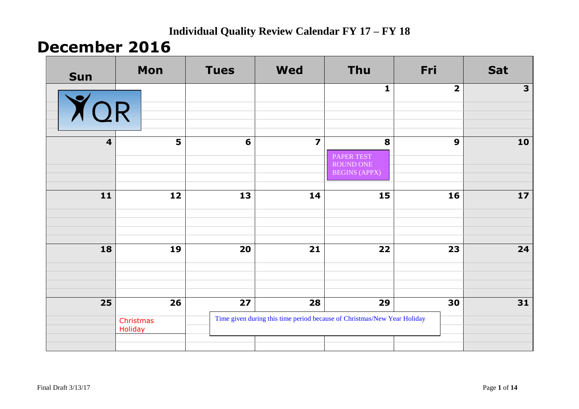## **December 2016**

| <b>Sun</b>              | Mon                               | <b>Tues</b>     | <b>Wed</b>              | <b>Thu</b>                                                                     | Fri                     | <b>Sat</b>               |
|-------------------------|-----------------------------------|-----------------|-------------------------|--------------------------------------------------------------------------------|-------------------------|--------------------------|
| YOR                     |                                   |                 |                         | $\mathbf{1}$                                                                   | $\overline{\mathbf{2}}$ | $\overline{\mathbf{3}}$  |
| $\overline{\mathbf{4}}$ | 5                                 | $6\phantom{1}6$ | $\overline{\mathbf{z}}$ | 8<br>PAPER TEST<br>ROUND ONE<br><b>BEGINS (APPX)</b>                           | $\boldsymbol{9}$        | 10                       |
| $\overline{11}$         | 12                                | 13              | 14                      | 15                                                                             | 16                      | $\overline{\mathbf{17}}$ |
| 18                      | 19                                | 20              | 21                      | 22                                                                             | 23                      | 24                       |
| $\overline{25}$         | 26<br>Christmas<br><b>Holiday</b> | 27              | 28                      | 29<br>Time given during this time period because of Christmas/New Year Holiday | 30                      | 31                       |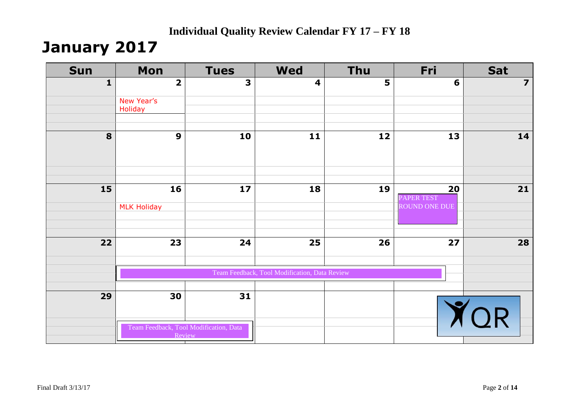## **January 2017**

| <b>Sun</b>   | Mon                     | <b>Tues</b>                            | <b>Wed</b>                                    | <b>Thu</b> | Fri              | Sat                     |
|--------------|-------------------------|----------------------------------------|-----------------------------------------------|------------|------------------|-------------------------|
| $\mathbf{1}$ | $\overline{\mathbf{2}}$ | $\overline{\mathbf{3}}$                | $\overline{\mathbf{4}}$                       | 5          | 6                | $\overline{\mathbf{z}}$ |
|              | New Year's              |                                        |                                               |            |                  |                         |
|              | Holiday                 |                                        |                                               |            |                  |                         |
| 8            | $\boldsymbol{9}$        | 10                                     | 11                                            | 12         | 13               | 14                      |
|              |                         |                                        |                                               |            |                  |                         |
|              |                         |                                        |                                               |            |                  |                         |
| 15           | 16                      | 17                                     | 18                                            | 19         | 20<br>PAPER TEST | $21$                    |
|              | <b>MLK Holiday</b>      |                                        |                                               |            | ROUND ONE DUE    |                         |
|              |                         |                                        |                                               |            |                  |                         |
| 22           | 23                      | 24                                     | 25                                            | 26         | 27               | 28                      |
|              |                         |                                        | Team Feedback, Tool Modification, Data Review |            |                  |                         |
|              |                         |                                        |                                               |            |                  |                         |
| 29           | 30                      | 31                                     |                                               |            |                  | QR                      |
|              | <b>Review</b>           | Team Feedback, Tool Modification, Data |                                               |            |                  |                         |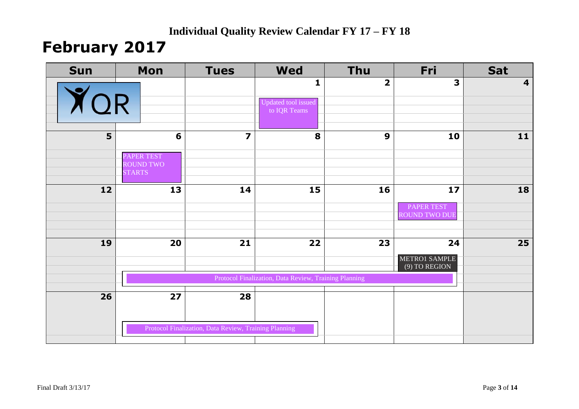## **February 2017**

| <b>Sun</b>     | Mon                            | <b>Tues</b>                                           | <b>Wed</b>                                            | <b>Thu</b>              | Fri                              | <b>Sat</b>              |
|----------------|--------------------------------|-------------------------------------------------------|-------------------------------------------------------|-------------------------|----------------------------------|-------------------------|
|                |                                |                                                       | 1                                                     | $\overline{\mathbf{2}}$ | 3                                | $\overline{\mathbf{4}}$ |
| QR             |                                |                                                       | Updated tool issued<br>to IQR Teams                   |                         |                                  |                         |
|                |                                |                                                       |                                                       |                         |                                  |                         |
| 5 <sup>1</sup> | 6                              | $\overline{\mathbf{z}}$                               | 8                                                     | $\boldsymbol{9}$        | 10                               | 11                      |
|                |                                |                                                       |                                                       |                         |                                  |                         |
|                | PAPER TEST<br><b>ROUND TWO</b> |                                                       |                                                       |                         |                                  |                         |
|                | <b>STARTS</b>                  |                                                       |                                                       |                         |                                  |                         |
| 12             | 13                             | 14                                                    | 15                                                    | 16                      | 17                               | 18                      |
|                |                                |                                                       |                                                       |                         | <b>PAPER TEST</b>                |                         |
|                |                                |                                                       |                                                       |                         | <b>ROUND TWO DUE</b>             |                         |
|                |                                |                                                       |                                                       |                         |                                  |                         |
| 19             | 20                             | 21                                                    | 22                                                    | 23                      | 24                               | 25                      |
|                |                                |                                                       |                                                       |                         | METRO1 SAMPLE<br>$(9)$ TO REGION |                         |
|                |                                |                                                       | Protocol Finalization, Data Review, Training Planning |                         |                                  |                         |
| 26             | 27                             | 28                                                    |                                                       |                         |                                  |                         |
|                |                                |                                                       |                                                       |                         |                                  |                         |
|                |                                | Protocol Finalization, Data Review, Training Planning |                                                       |                         |                                  |                         |
|                |                                |                                                       |                                                       |                         |                                  |                         |
|                |                                |                                                       |                                                       |                         |                                  |                         |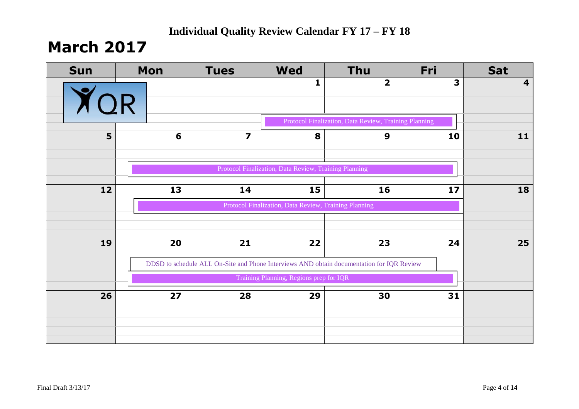## **March 2017**

| <b>Sun</b> | Mon | <b>Tues</b>    | <b>Wed</b>                                            | <b>Thu</b>                                                                                | Fri                     | <b>Sat</b>              |
|------------|-----|----------------|-------------------------------------------------------|-------------------------------------------------------------------------------------------|-------------------------|-------------------------|
|            |     |                | $\mathbf{1}$                                          | $\overline{\mathbf{2}}$                                                                   | $\overline{\mathbf{3}}$ | $\overline{\mathbf{4}}$ |
| YOR        |     |                |                                                       |                                                                                           |                         |                         |
|            |     |                |                                                       | Protocol Finalization, Data Review, Training Planning                                     |                         |                         |
| 5          | 6   | $\overline{z}$ | 8                                                     | 9                                                                                         | 10                      | 11                      |
|            |     |                |                                                       |                                                                                           |                         |                         |
|            |     |                | Protocol Finalization, Data Review, Training Planning |                                                                                           |                         |                         |
| 12         | 13  | 14             | 15                                                    | 16                                                                                        | 17                      | 18                      |
|            |     |                | Protocol Finalization, Data Review, Training Planning |                                                                                           |                         |                         |
|            |     |                |                                                       |                                                                                           |                         |                         |
| 19         | 20  | 21             | 22                                                    | 23                                                                                        | 24                      | 25                      |
|            |     |                |                                                       |                                                                                           |                         |                         |
|            |     |                |                                                       | DDSD to schedule ALL On-Site and Phone Interviews AND obtain documentation for IQR Review |                         |                         |
|            |     |                | Training Planning, Regions prep for IQR               |                                                                                           |                         |                         |
| 26         | 27  | 28             | 29                                                    | 30                                                                                        | 31                      |                         |
|            |     |                |                                                       |                                                                                           |                         |                         |
|            |     |                |                                                       |                                                                                           |                         |                         |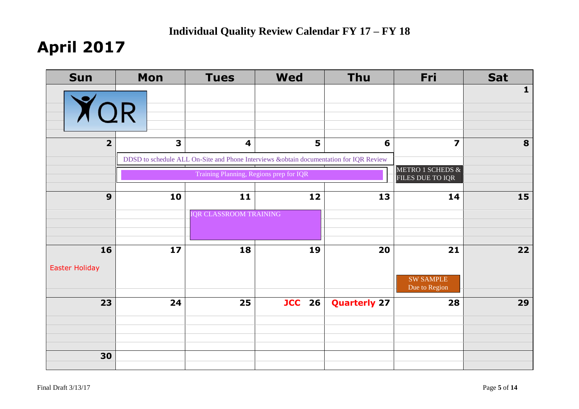# **April 2017**

| <b>Sun</b>                  | Mon          | <b>Tues</b>                                                                                                       | <b>Wed</b>    | <b>Thu</b>          | Fri                                         | <b>Sat</b>   |
|-----------------------------|--------------|-------------------------------------------------------------------------------------------------------------------|---------------|---------------------|---------------------------------------------|--------------|
| YOR                         |              |                                                                                                                   |               |                     |                                             | $\mathbf{1}$ |
| $\overline{2}$              | $\mathbf{3}$ | $\overline{\mathbf{4}}$<br>DDSD to schedule ALL On-Site and Phone Interviews &obtain documentation for IQR Review | 5             | 6                   | $\overline{\mathbf{z}}$<br>METRO 1 SCHEDS & | 8            |
|                             |              | Training Planning, Regions prep for IQR                                                                           |               |                     | FILES DUE TO IQR                            |              |
| 9                           | 10           | 11                                                                                                                | 12            | 13                  | 14                                          | 15           |
|                             |              | <b>IQR CLASSROOM TRAINING</b>                                                                                     |               |                     |                                             |              |
| 16<br><b>Easter Holiday</b> | 17           | 18                                                                                                                | 19            | 20                  | 21<br><b>SW SAMPLE</b><br>Due to Region     | 22           |
| 23                          | 24           | 25                                                                                                                | <b>JCC</b> 26 | <b>Quarterly 27</b> | 28                                          | 29           |
| 30                          |              |                                                                                                                   |               |                     |                                             |              |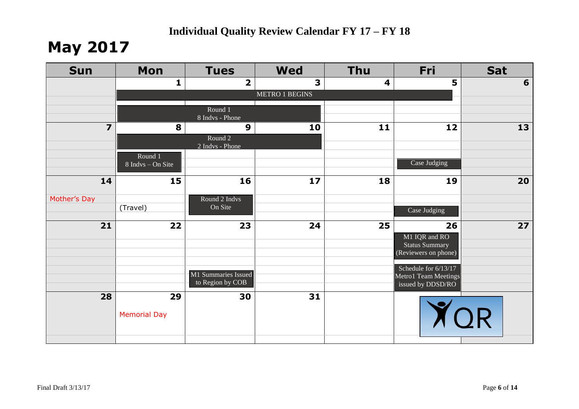## **May 2017**

| <b>Sun</b>              | <b>Mon</b>                   | <b>Tues</b>                                    | <b>Wed</b>            | <b>Thu</b>              | Fri                                                                  | <b>Sat</b> |
|-------------------------|------------------------------|------------------------------------------------|-----------------------|-------------------------|----------------------------------------------------------------------|------------|
|                         | $\mathbf{1}$                 | $\overline{\mathbf{2}}$                        | 3                     | $\overline{\mathbf{4}}$ | 5                                                                    | 6          |
|                         |                              |                                                | <b>METRO 1 BEGINS</b> |                         |                                                                      |            |
|                         |                              | Round 1<br>8 Indvs - Phone                     |                       |                         |                                                                      |            |
| $\overline{\mathbf{z}}$ | 8                            | $\boldsymbol{9}$<br>Round 2<br>2 Indys - Phone | 10                    | 11                      | 12                                                                   | 13         |
|                         | Round 1<br>8 Indvs - On Site |                                                |                       |                         | Case Judging                                                         |            |
| 14                      | 15                           | 16                                             | 17                    | 18                      | 19                                                                   | 20         |
| Mother's Day            | (Travel)                     | Round 2 Indys<br>On Site                       |                       |                         | Case Judging                                                         |            |
| 21                      | 22                           | 23                                             | 24                    | 25                      | 26<br>M1 IQR and RO<br><b>Status Summary</b><br>(Reviewers on phone) | 27         |
|                         |                              | M1 Summaries Issued<br>to Region by COB        |                       |                         | Schedule for $6/13/17$<br>Metro1 Team Meetings<br>issued by DDSD/RO  |            |
| 28                      | 29<br><b>Memorial Day</b>    | 30                                             | 31                    |                         |                                                                      | <b>TOR</b> |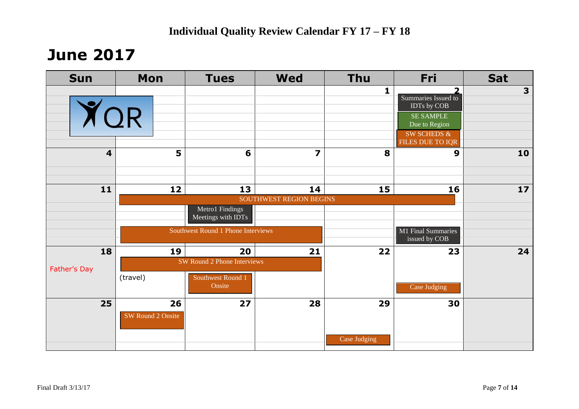## **June 2017**

| <b>Sun</b>              | Mon                     | <b>Tues</b>                           | <b>Wed</b>                    | <b>Thu</b>         | Fri                                                                                                                        | <b>Sat</b> |
|-------------------------|-------------------------|---------------------------------------|-------------------------------|--------------------|----------------------------------------------------------------------------------------------------------------------------|------------|
| <b>YOR</b>              |                         |                                       |                               | $\mathbf{1}$       | י<br>Summaries Issued to<br>IDTs by COB<br><b>SE SAMPLE</b><br>Due to Region<br><b>SW SCHEDS &amp;</b><br>FILES DUE TO IQR | 3          |
| $\overline{\mathbf{4}}$ | 5                       | 6                                     | $\overline{z}$                | 8                  | 9                                                                                                                          | 10         |
| 11                      | 12                      | 13                                    | 14<br>SOUTHWEST REGION BEGINS | 15                 | 16                                                                                                                         | 17         |
|                         |                         | Metro1 Findings<br>Meetings with IDTs |                               |                    |                                                                                                                            |            |
|                         |                         | Southwest Round 1 Phone Interviews    |                               |                    | M1 Final Summaries<br>issued by COB                                                                                        |            |
| 18                      | 19                      | 20<br>SW Round 2 Phone Interviews     | 21                            | 22                 | 23                                                                                                                         | 24         |
| Father's Day            | (travel)                | Southwest Round 1<br>Onsite           |                               |                    | Case Judging                                                                                                               |            |
| 25                      | 26<br>SW Round 2 Onsite | 27                                    | 28                            | 29<br>Case Judging | 30                                                                                                                         |            |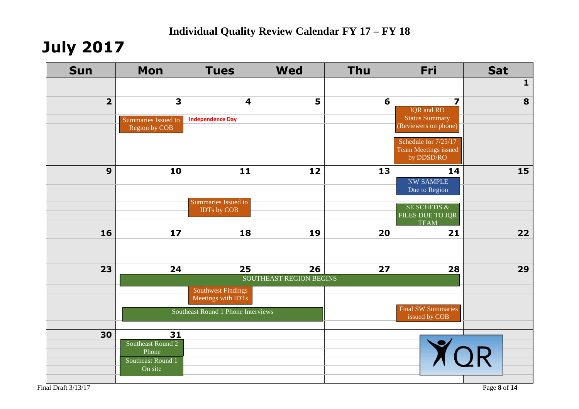# **July 2017**

| <b>Sun</b>     | <b>Mon</b>                   | <b>Tues</b>                                     | <b>Wed</b>              | <b>Thu</b> | Fri                                                        | <b>Sat</b>   |
|----------------|------------------------------|-------------------------------------------------|-------------------------|------------|------------------------------------------------------------|--------------|
|                |                              |                                                 |                         |            |                                                            | $\mathbf{1}$ |
| $\overline{2}$ | $\overline{\mathbf{3}}$      | $\overline{\mathbf{4}}$                         | 5                       | 6          | $\overline{\mathbf{z}}$<br><b>IQR</b> and RO               | 8            |
|                | Summaries Issued to          | <b>Independence Day</b>                         |                         |            | <b>Status Summary</b><br>(Reviewers on phone)              |              |
|                | Region by COB                |                                                 |                         |            |                                                            |              |
|                |                              |                                                 |                         |            | Schedule for 7/25/17<br>Team Meetings issued<br>by DDSD/RO |              |
| 9              | 10                           | 11                                              | 12                      | 13         | 14                                                         | 15           |
|                |                              |                                                 |                         |            | <b>NW SAMPLE</b><br>Due to Region                          |              |
|                |                              | Summaries Issued to                             |                         |            | <b>SE SCHEDS &amp;</b>                                     |              |
|                |                              | IDTs by COB                                     |                         |            | FILES DUE TO IQR                                           |              |
| 16             | 17                           | 18                                              | 19                      | 20         | <b>TEAM</b><br>21                                          | 22           |
|                |                              |                                                 |                         |            |                                                            |              |
|                |                              |                                                 |                         |            |                                                            |              |
| 23             | 24                           | 25                                              | 26                      | 27         | 28                                                         | 29           |
|                |                              |                                                 | SOUTHEAST REGION BEGINS |            |                                                            |              |
|                |                              | <b>Southwest Findings</b><br>Meetings with IDTs |                         |            |                                                            |              |
|                |                              | Southeast Round 1 Phone Interviews              |                         |            | <b>Final SW Summaries</b><br>issued by COB                 |              |
|                |                              |                                                 |                         |            |                                                            |              |
| 30             | 31<br>Southeast Round 2      |                                                 |                         |            |                                                            |              |
|                | Phone                        |                                                 |                         |            |                                                            |              |
|                | Southeast Round 1<br>On site |                                                 |                         |            |                                                            |              |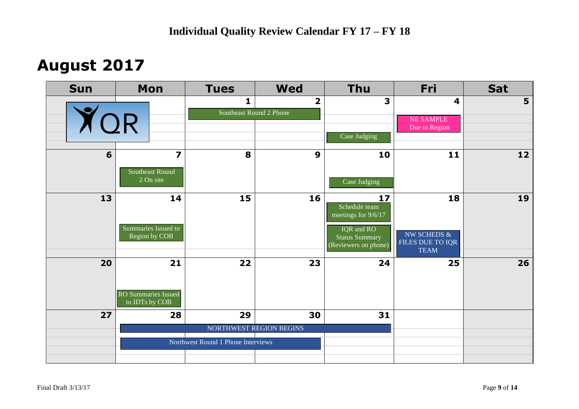## **August 2017**

| <b>Sun</b> | <b>Mon</b>                                                                           | <b>Tues</b>                             | <b>Wed</b>              | <b>Thu</b>                                                  | Fri                                               | <b>Sat</b>     |
|------------|--------------------------------------------------------------------------------------|-----------------------------------------|-------------------------|-------------------------------------------------------------|---------------------------------------------------|----------------|
|            |                                                                                      | $\mathbf{1}$<br>Southeast Round 2 Phone | $\overline{\mathbf{2}}$ | 3                                                           | $\overline{\mathbf{4}}$<br><b>NE SAMPLE</b>       | 5 <sup>5</sup> |
| YOR        |                                                                                      |                                         |                         | Case Judging                                                | Due to Region                                     |                |
| 6          | $\overline{\mathbf{z}}$                                                              | 8                                       | $\boldsymbol{9}$        | 10                                                          | 11                                                | 12             |
|            | Southeast Round<br>2 On site                                                         |                                         |                         | Case Judging                                                |                                                   |                |
| 13         | 14                                                                                   | 15                                      | 16                      | 17<br>Schedule team<br>meetings for 9/6/17                  | 18                                                | 19             |
|            | Summaries Issued to<br>Region by COB                                                 |                                         |                         | IQR and RO<br><b>Status Summary</b><br>(Reviewers on phone) | NW SCHEDS $\&$<br>FILES DUE TO IQR<br><b>TEAM</b> |                |
| 20         | 21                                                                                   | 22                                      | 23                      | 24                                                          | 25                                                | 26             |
|            | <b>RO Summaries Issued</b><br>to $\overline{\text{IDTs}}$ by $\overline{\text{COB}}$ |                                         |                         |                                                             |                                                   |                |
| 27         | 28                                                                                   | 29                                      | 30                      | 31                                                          |                                                   |                |
|            |                                                                                      |                                         | NORTHWEST REGION BEGINS |                                                             |                                                   |                |
|            |                                                                                      | Northwest Round 1 Phone Interviews      |                         |                                                             |                                                   |                |
|            |                                                                                      |                                         |                         |                                                             |                                                   |                |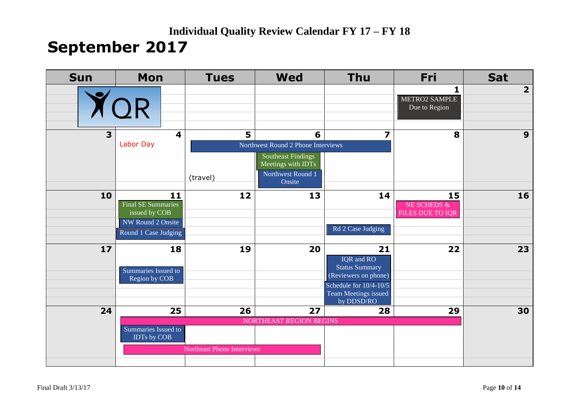### **Individual Quality Review Calendar FY 17 – FY 18 September 2017**

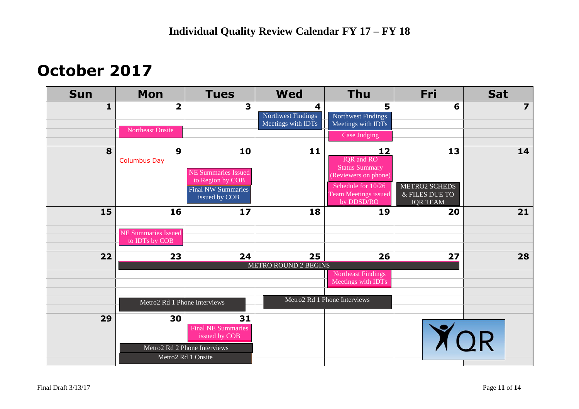## **October 2017**

| <b>Sun</b>   | <b>Mon</b>                                         | <b>Tues</b>                                                                                            | <b>Wed</b>                                    | <b>Thu</b>                                                                                                                                  | Fri                                                      | <b>Sat</b>              |
|--------------|----------------------------------------------------|--------------------------------------------------------------------------------------------------------|-----------------------------------------------|---------------------------------------------------------------------------------------------------------------------------------------------|----------------------------------------------------------|-------------------------|
| $\mathbf{1}$ | $\overline{2}$<br><b>Northeast Onsite</b>          | 3                                                                                                      | 4<br>Northwest Findings<br>Meetings with IDTs | 5<br>Northwest Findings<br>Meetings with IDTs<br>Case Judging                                                                               | 6                                                        | $\overline{\mathbf{z}}$ |
| 8            | $\boldsymbol{9}$<br><b>Columbus Day</b>            | 10<br><b>NE Summaries Issued</b><br>to Region by COB<br><b>Final NW Summaries</b><br>issued by COB     | 11                                            | 12<br><b>IQR</b> and RO<br><b>Status Summary</b><br>(Reviewers on phone)<br>Schedule for 10/26<br><b>Team Meetings issued</b><br>by DDSD/RO | 13<br>METRO2 SCHEDS<br>& FILES DUE TO<br><b>IQR TEAM</b> | 14                      |
| 15           | 16<br><b>NE Summaries Issued</b><br>to IDTs by COB | 17                                                                                                     | 18                                            | 19                                                                                                                                          | 20                                                       | 21                      |
| 22           | 23<br>Metro2 Rd 1 Phone Interviews                 | 24                                                                                                     | 25<br>METRO ROUND 2 BEGINS                    | 26<br>Northeast Findings<br>Meetings with IDTs<br>Metro2 Rd 1 Phone Interviews                                                              | 27                                                       | 28                      |
| 29           | 30                                                 | 31<br><b>Final NE Summaries</b><br>issued by COB<br>Metro2 Rd 2 Phone Interviews<br>Metro2 Rd 1 Onsite |                                               |                                                                                                                                             | YOR                                                      |                         |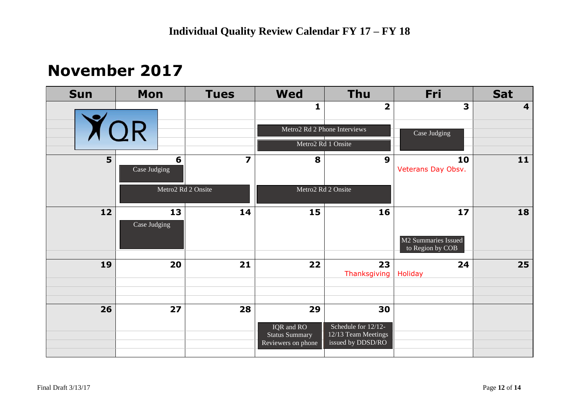## **November 2017**

| <b>Sun</b> | <b>Mon</b>         | <b>Tues</b>             | <b>Wed</b>                          | <b>Thu</b>                                 | Fri                                           | <b>Sat</b> |
|------------|--------------------|-------------------------|-------------------------------------|--------------------------------------------|-----------------------------------------------|------------|
|            |                    |                         | 1                                   | $\overline{\mathbf{2}}$                    | 3                                             | 4          |
| YOR        |                    |                         |                                     | Metro2 Rd 2 Phone Interviews               | Case Judging                                  |            |
|            |                    |                         | Metro2 Rd 1 Onsite                  |                                            |                                               |            |
| 5          | 6<br>Case Judging  | $\overline{\mathbf{z}}$ | 8                                   | $\boldsymbol{9}$                           | 10<br>Veterans Day Obsv.                      | 11         |
|            |                    | Metro2 Rd 2 Onsite      | Metro2 Rd 2 Onsite                  |                                            |                                               |            |
| 12         | 13<br>Case Judging | 14                      | 15                                  | 16                                         | 17<br>M2 Summaries Issued<br>to Region by COB | 18         |
|            |                    |                         |                                     |                                            |                                               |            |
| 19         | 20                 | 21                      | 22                                  | 23<br>Thanksgiving                         | 24<br><b>Holiday</b>                          | 25         |
|            |                    |                         |                                     |                                            |                                               |            |
| 26         | 27                 | 28                      | 29                                  | 30                                         |                                               |            |
|            |                    |                         | IQR and RO<br><b>Status Summary</b> | Schedule for 12/12-<br>12/13 Team Meetings |                                               |            |
|            |                    |                         | Reviewers on phone                  | issued by DDSD/RO                          |                                               |            |
|            |                    |                         |                                     |                                            |                                               |            |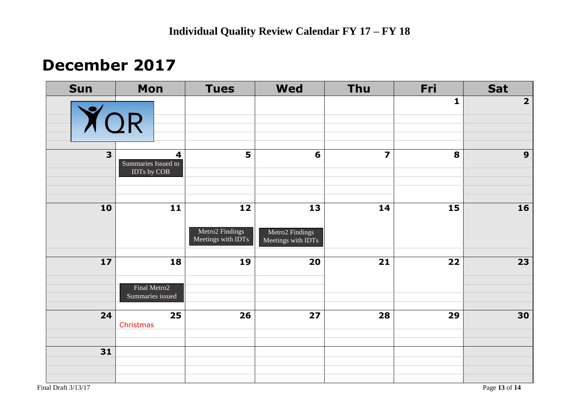## **December 2017**

| Sun          | Mon                                                           | <b>Tues</b>                                 | <b>Wed</b>                                  | Thu | Fri | Sat                     |
|--------------|---------------------------------------------------------------|---------------------------------------------|---------------------------------------------|-----|-----|-------------------------|
|              | <b>YOR</b>                                                    |                                             |                                             |     | 1   | $\overline{\mathbf{2}}$ |
| $\mathbf{3}$ | $\overline{\mathbf{4}}$<br>Summaries Issued to<br>IDTs by COB | $\overline{\mathbf{5}}$                     | 6                                           |     | 8   | $\mathbf{9}$            |
| 10           | $11$                                                          | 12<br>Metro2 Findings<br>Meetings with IDTs | 13<br>Metro2 Findings<br>Meetings with IDTs | 14  | 15  | 16                      |
| $17$         | 18<br>Final Metro2<br>Summaries issued                        | 19                                          | 20                                          | 21  | 22  | 23                      |
| 24           | 25<br>Christmas                                               | 26                                          | 27                                          | 28  | 29  | 30                      |
| 31           |                                                               |                                             |                                             |     |     |                         |